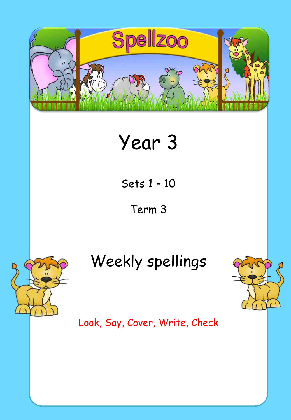

# Year 3

Sets 1 – 10

Term 3



# Weekly spellings



Look, Say, Cover, Write, Check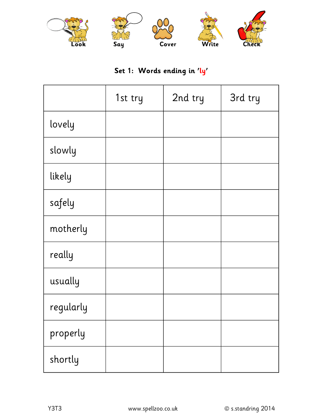

### **Set 1: Words ending in 'ly'**

|           | 1st try | 2nd try | 3rd try |
|-----------|---------|---------|---------|
| lovely    |         |         |         |
| slowly    |         |         |         |
| likely    |         |         |         |
| safely    |         |         |         |
| motherly  |         |         |         |
| really    |         |         |         |
| usually   |         |         |         |
| regularly |         |         |         |
| properly  |         |         |         |
| shortly   |         |         |         |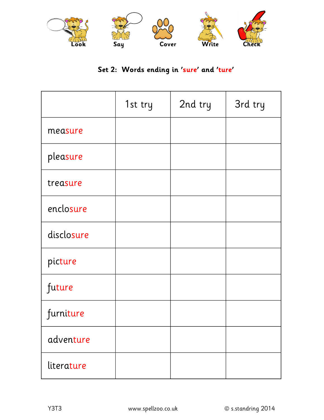

### **Set 2: Words ending in 'sure' and 'ture'**

|            | 1st try | 2nd try | 3rd try |
|------------|---------|---------|---------|
| measure    |         |         |         |
| pleasure   |         |         |         |
| treasure   |         |         |         |
| enclosure  |         |         |         |
| disclosure |         |         |         |
| picture    |         |         |         |
| future     |         |         |         |
| furniture  |         |         |         |
| adventure  |         |         |         |
| literature |         |         |         |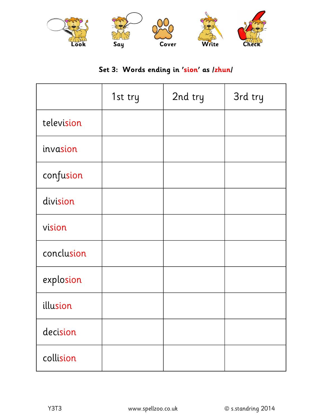

### **Set 3: Words ending in 'sion' as /zhun/**

|            | 1st try | 2nd try | 3rd try |
|------------|---------|---------|---------|
| television |         |         |         |
| invasion   |         |         |         |
| confusion  |         |         |         |
| division   |         |         |         |
| vision     |         |         |         |
| conclusion |         |         |         |
| explosion  |         |         |         |
| illusion   |         |         |         |
| decision   |         |         |         |
| collision  |         |         |         |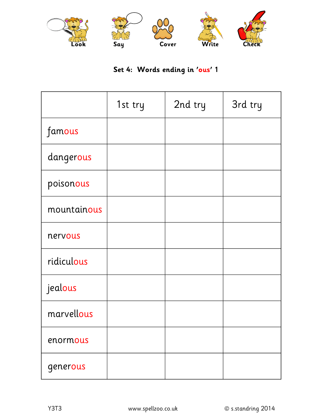

### **Set 4: Words ending in 'ous' 1**

|             | 1st try | 2nd try | 3rd try |
|-------------|---------|---------|---------|
| famous      |         |         |         |
| dangerous   |         |         |         |
| poisonous   |         |         |         |
| mountainous |         |         |         |
| nervous     |         |         |         |
| ridiculous  |         |         |         |
| jealous     |         |         |         |
| marvellous  |         |         |         |
| enormous    |         |         |         |
| generous    |         |         |         |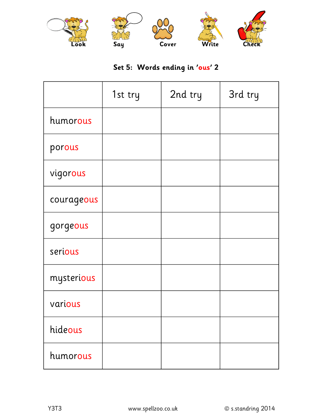

### **Set 5: Words ending in 'ous' 2**

|            | 1st try | 2nd try | 3rd try |
|------------|---------|---------|---------|
| humorous   |         |         |         |
| porous     |         |         |         |
| vigorous   |         |         |         |
| courageous |         |         |         |
| gorgeous   |         |         |         |
| serious    |         |         |         |
| mysterious |         |         |         |
| various    |         |         |         |
| hideous    |         |         |         |
| humorous   |         |         |         |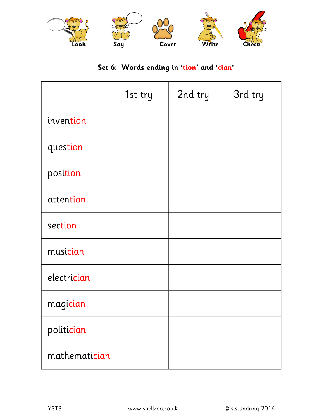

### **Set 6: Words ending in 'tion' and 'cian'**

|               | 1st try | 2nd try | 3rd try |
|---------------|---------|---------|---------|
| invention     |         |         |         |
| question      |         |         |         |
| position      |         |         |         |
| attention     |         |         |         |
| section       |         |         |         |
| musician      |         |         |         |
| electrician   |         |         |         |
| magician      |         |         |         |
| politician    |         |         |         |
| mathematician |         |         |         |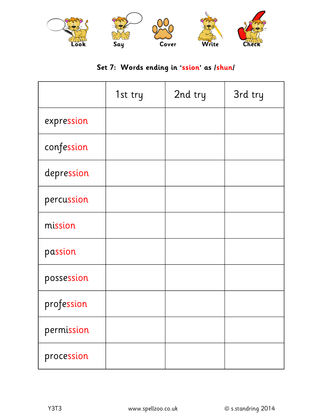

#### **Set 7: Words ending in 'ssion' as /shun/**

|            | 1st try | 2nd try | 3rd try |
|------------|---------|---------|---------|
| expression |         |         |         |
| confession |         |         |         |
| depression |         |         |         |
| percussion |         |         |         |
| mission    |         |         |         |
| passion    |         |         |         |
| possession |         |         |         |
| profession |         |         |         |
| permission |         |         |         |
| procession |         |         |         |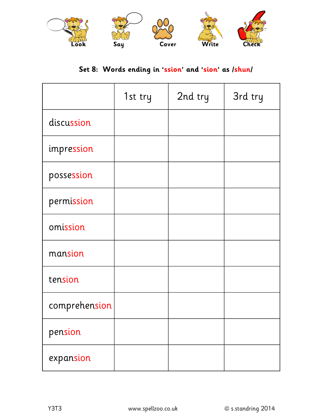

## **Set 8: Words ending in 'ssion' and 'sion' as /shun/**

|               | 1st try | 2nd try | 3rd try |
|---------------|---------|---------|---------|
| discussion    |         |         |         |
| impression    |         |         |         |
| possession    |         |         |         |
| permission    |         |         |         |
| omission      |         |         |         |
| mansion       |         |         |         |
| tension       |         |         |         |
| comprehension |         |         |         |
| pension       |         |         |         |
| expansion     |         |         |         |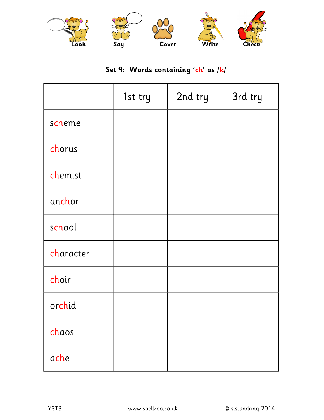

### **Set 9: Words containing 'ch' as /k/**

|           | 1st try | 2nd try | 3rd try |
|-----------|---------|---------|---------|
| scheme    |         |         |         |
| chorus    |         |         |         |
| chemist   |         |         |         |
| anchor    |         |         |         |
| school    |         |         |         |
| character |         |         |         |
| choir     |         |         |         |
| orchid    |         |         |         |
| chaos     |         |         |         |
| ache      |         |         |         |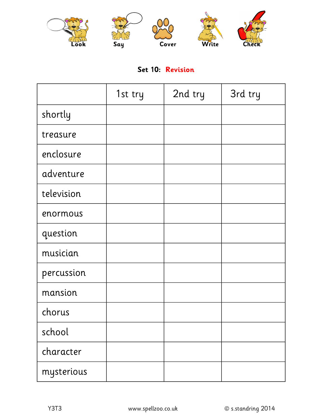

#### **Set 10: Revision**

|            | 1st try | 2nd try | 3rd try |
|------------|---------|---------|---------|
| shortly    |         |         |         |
| treasure   |         |         |         |
| enclosure  |         |         |         |
| adventure  |         |         |         |
| television |         |         |         |
| enormous   |         |         |         |
| question   |         |         |         |
| musician   |         |         |         |
| percussion |         |         |         |
| mansion    |         |         |         |
| chorus     |         |         |         |
| school     |         |         |         |
| character  |         |         |         |
| mysterious |         |         |         |